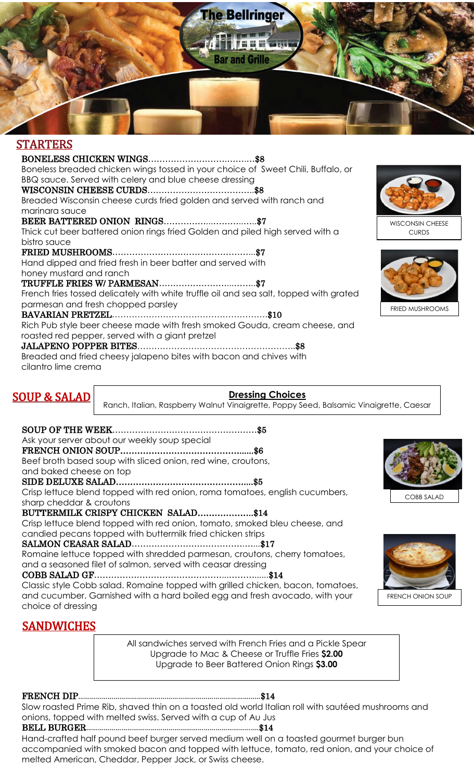

## STARTERS

BONELESS CHICKEN WINGS……………………….…….…\$8 Boneless breaded chicken wings tossed in your choice of Sweet Chili, Buffalo, or BBQ sauce. Served with celery and blue cheese dressing WISCONSIN CHEESE CURDS………………………………..\$8 Breaded Wisconsin cheese curds fried golden and served with ranch and marinara sauce BEER BATTERED ONION RINGS……………...………..…..\$7 Thick cut beer battered onion rings fried Golden and piled high served with a bistro sauce FRIED MUSHROOMS…………………………………………...\$7 Hand dipped and fried fresh in beer batter and served with honey mustard and ranch TRUFFLE FRIES W/ PARMESAN……………………...……..\$7 French fries tossed delicately with white truffle oil and sea salt, topped with grated parmesan and fresh chopped parsley BAVARIAN PRETZEL……………………………………………….\$10 Rich Pub style beer cheese made with fresh smoked Gouda, cream cheese, and roasted red pepper, served with a giant pretzel JALAPENO POPPER BITES………………………………………………..\$8 Breaded and fried cheesy jalapeno bites with bacon and chives with cilantro lime crema





# SOUP & SALAD

### **Dressing Choices**

Ranch, Italian, Raspberry Walnut Vinaigrette, Poppy Seed, Balsamic Vinaigrette, Caesar

SOUP OF THE WEEK……………………………………………\$5 Ask your server about our weekly soup special FRENCH ONION SOUP……………………………………......\$6 Beef broth based soup with sliced onion, red wine, croutons, and baked cheese on top SIDE DELUXE SALAD………………………………………....\$5

Crisp lettuce blend topped with red onion, roma tomatoes, english cucumbers, sharp cheddar & croutons

### BUTTERMILK CRISPY CHICKEN SALAD………………..\$14

Crisp lettuce blend topped with red onion, tomato, smoked bleu cheese, and candied pecans topped with buttermilk fried chicken strips

SALMON CEASAR SALAD………………………………….…...\$17

Romaine lettuce topped with shredded parmesan, croutons, cherry tomatoes, and a seasoned filet of salmon, served with ceasar dressing

### COBB SALAD GF………………………………………...………......\$14

Classic style Cobb salad. Romaine topped with grilled chicken, bacon, tomatoes, and cucumber. Garnished with a hard boiled egg and fresh avocado, with your choice of dressing

# **SANDWICHES**

All sandwiches served with French Fries and a Pickle Spear Upgrade to Mac & Cheese or Truffle Fries **\$2.00** Upgrade to Beer Battered Onion Rings **\$3.00**

### FRENCH DIP…………………………………………………………………………………\$14

Slow roasted Prime Rib, shaved thin on a toasted old world Italian roll with sautéed mushrooms and onions, topped with melted swiss. Served with a cup of Au Jus

# BELL BURGER………………………………………………………………………….…\$14

Hand-crafted half pound beef burger served medium well on a toasted gourmet burger bun accompanied with smoked bacon and topped with lettuce, tomato, red onion, and your choice of melted American, Cheddar, Pepper Jack, or Swiss cheese.



COBB SALAD